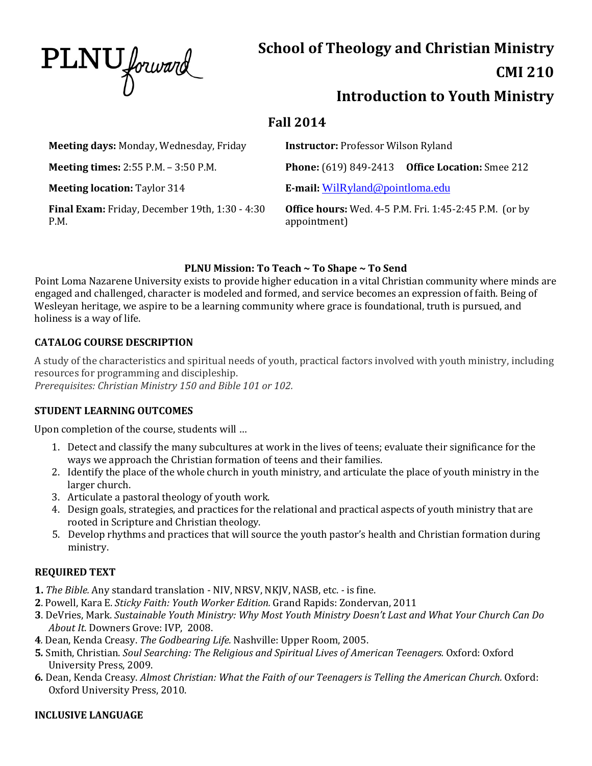PLNU forward

# **School of Theology and Christian Ministry**

# **CMI 210**

# **Introduction to Youth Ministry**

# **Fall 2014**

| Meeting days: Monday, Wednesday, Friday                       | <b>Instructor: Professor Wilson Ryland</b>                                    |  |
|---------------------------------------------------------------|-------------------------------------------------------------------------------|--|
| <b>Meeting times:</b> 2:55 P.M. - 3:50 P.M.                   | <b>Phone:</b> (619) 849-2413 Office Location: Smee 212                        |  |
| <b>Meeting location: Taylor 314</b>                           | E-mail: WilRyland@pointloma.edu                                               |  |
| <b>Final Exam:</b> Friday, December 19th, 1:30 - 4:30<br>P.M. | <b>Office hours:</b> Wed. 4-5 P.M. Fri. 1:45-2:45 P.M. (or by<br>appointment) |  |

# **PLNU Mission: To Teach ~ To Shape ~ To Send**

Point Loma Nazarene University exists to provide higher education in a vital Christian community where minds are engaged and challenged, character is modeled and formed, and service becomes an expression of faith. Being of Wesleyan heritage, we aspire to be a learning community where grace is foundational, truth is pursued, and holiness is a way of life.

# **CATALOG COURSE DESCRIPTION**

A study of the characteristics and spiritual needs of youth, practical factors involved with youth ministry, including resources for programming and discipleship. *Prerequisites: Christian Ministry 150 and Bible 101 or 102.*

# **STUDENT LEARNING OUTCOMES**

Upon completion of the course, students will …

- 1. Detect and classify the many subcultures at work in the lives of teens; evaluate their significance for the ways we approach the Christian formation of teens and their families.
- 2. Identify the place of the whole church in youth ministry, and articulate the place of youth ministry in the larger church.
- 3. Articulate a pastoral theology of youth work.
- 4. Design goals, strategies, and practices for the relational and practical aspects of youth ministry that are rooted in Scripture and Christian theology.
- 5. Develop rhythms and practices that will source the youth pastor's health and Christian formation during ministry.

# **REQUIRED TEXT**

- **1.** *The Bible.* Any standard translation NIV, NRSV, NKJV, NASB, etc. *-* is fine.
- **2**. Powell, Kara E. *Sticky Faith: Youth Worker Edition.* Grand Rapids: Zondervan, 2011
- **3**. DeVries, Mark. *Sustainable Youth Ministry: Why Most Youth Ministry Doesn't Last and What Your Church Can Do About It.* Downers Grove: IVP, 2008.
- **4***.* Dean, Kenda Creasy. *The Godbearing Life.* Nashville: Upper Room, 2005.
- **5***.* Smith, Christian. *Soul Searching: The Religious and Spiritual Lives of American Teenagers.* Oxford: Oxford University Press, 2009.
- **6***.* Dean, Kenda Creasy. *Almost Christian: What the Faith of our Teenagers is Telling the American Church.* Oxford: Oxford University Press, 2010.

# **INCLUSIVE LANGUAGE**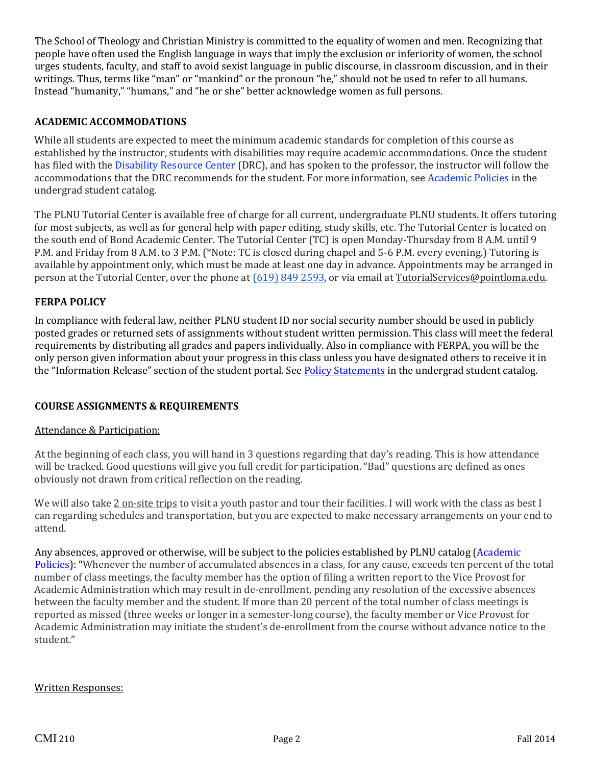The School of Theology and Christian Ministry is committed to the equality of women and men. Recognizing that people have often used the English language in ways that imply the exclusion or inferiority of women, the school urges students, faculty, and staff to avoid sexist language in public discourse, in classroom discussion, and in their writings. Thus, terms like "man" or "mankind" or the pronoun "he," should not be used to refer to all humans. Instead "humanity," "humans," and "he or she" better acknowledge women as full persons.

#### **ACADEMIC ACCOMMODATIONS**

While all students are expected to meet the minimum academic standards for completion of this course as established by the instructor, students with disabilities may require academic accommodations. Once the student has filed with the Disability Resource Center (DRC), and has spoken to the professor, the instructor will follow the accommodations that the DRC recommends for the student. For more information, see Academic Policies in the undergrad student catalog.

The PLNU Tutorial Center is available free of charge for all current, undergraduate PLNU students. It offers tutoring for most subjects, as well as for general help with paper editing, study skills, etc. The Tutorial Center is located on the south end of Bond Academic Center. The Tutorial Center (TC) is open Monday-Thursday from 8 A.M. until 9 P.M. and Friday from 8 A.M. to 3 P.M. (\*Note: TC is closed during chapel and 5-6 P.M. every evening.) Tutoring is available by appointment only, which must be made at least one day in advance. Appointments may be arranged in person at the Tutorial Center, over the phone at (619) 849 2593, or via email at [TutorialServices@pointloma.edu.](mailto:TutorialServices@pointloma.edu)

#### **FERPA POLICY**

In compliance with federal law, neither PLNU student ID nor social security number should be used in publicly posted grades or returned sets of assignments without student written permission. This class will meet the federal requirements by distributing all grades and papers individually. Also in compliance with FERPA, you will be the only person given information about your progress in this class unless you have designated others to receive it in the "Information Release" section of the student portal. See Policy [Statements](http://www.pointloma.edu/experience/academics/catalogs/undergraduate-catalog/policy-statements) in the undergrad student catalog.

#### **COURSE ASSIGNMENTS & REQUIREMENTS**

#### Attendance & Participation:

At the beginning of each class, you will hand in 3 questions regarding that day's reading. This is how attendance will be tracked. Good questions will give you full credit for participation. "Bad" questions are defined as ones obviously not drawn from critical reflection on the reading.

We will also take 2 on-site trips to visit a youth pastor and tour their facilities. I will work with the class as best I can regarding schedules and transportation, but you are expected to make necessary arrangements on your end to attend.

Any absences, approved or otherwise, will be subject to the policies established by PLNU catalog [\(Academic](http://www.pointloma.edu/experience/academics/catalogs/undergraduate-catalog/point-loma-education/academic-policies) [Policies\)](http://www.pointloma.edu/experience/academics/catalogs/undergraduate-catalog/point-loma-education/academic-policies): "Whenever the number of accumulated absences in a class, for any cause, exceeds ten percent of the total number of class meetings, the faculty member has the option of filing a written report to the Vice Provost for Academic Administration which may result in de-enrollment, pending any resolution of the excessive absences between the faculty member and the student. If more than 20 percent of the total number of class meetings is reported as missed (three weeks or longer in a semester-long course), the faculty member or Vice Provost for Academic Administration may initiate the student's de-enrollment from the course without advance notice to the student."

#### Written Responses: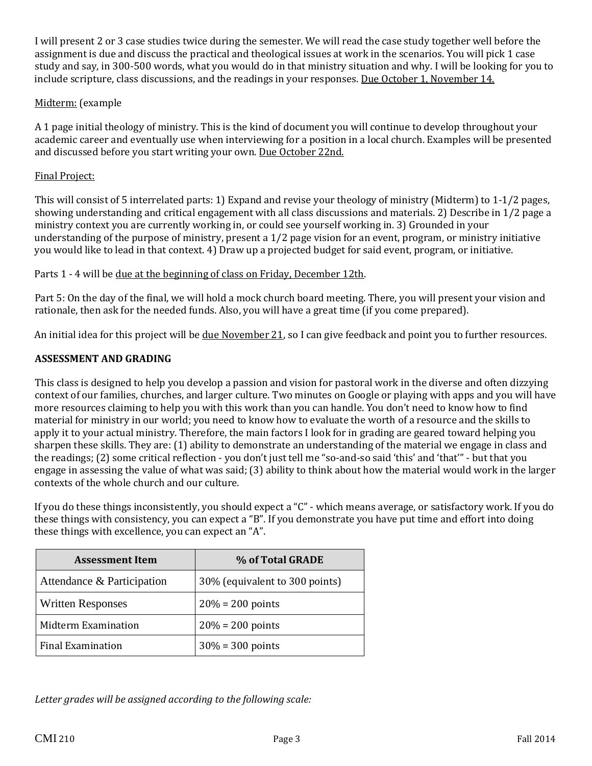I will present 2 or 3 case studies twice during the semester. We will read the case study together well before the assignment is due and discuss the practical and theological issues at work in the scenarios. You will pick 1 case study and say, in 300-500 words, what you would do in that ministry situation and why. I will be looking for you to include scripture, class discussions, and the readings in your responses. Due October 1, November 14.

#### Midterm: (example

A 1 page initial theology of ministry. This is the kind of document you will continue to develop throughout your academic career and eventually use when interviewing for a position in a local church. Examples will be presented and discussed before you start writing your own. Due October 22nd.

#### Final Project:

This will consist of 5 interrelated parts: 1) Expand and revise your theology of ministry (Midterm) to 1-1/2 pages, showing understanding and critical engagement with all class discussions and materials. 2) Describe in 1/2 page a ministry context you are currently working in, or could see yourself working in. 3) Grounded in your understanding of the purpose of ministry, present a 1/2 page vision for an event, program, or ministry initiative you would like to lead in that context. 4) Draw up a projected budget for said event, program, or initiative.

#### Parts 1 - 4 will be due at the beginning of class on Friday, December 12th.

Part 5: On the day of the final, we will hold a mock church board meeting. There, you will present your vision and rationale, then ask for the needed funds. Also, you will have a great time (if you come prepared).

An initial idea for this project will be due November 21, so I can give feedback and point you to further resources.

#### **ASSESSMENT AND GRADING**

This class is designed to help you develop a passion and vision for pastoral work in the diverse and often dizzying context of our families, churches, and larger culture. Two minutes on Google or playing with apps and you will have more resources claiming to help you with this work than you can handle. You don't need to know how to find material for ministry in our world; you need to know how to evaluate the worth of a resource and the skills to apply it to your actual ministry. Therefore, the main factors I look for in grading are geared toward helping you sharpen these skills. They are: (1) ability to demonstrate an understanding of the material we engage in class and the readings; (2) some critical reflection - you don't just tell me "so-and-so said 'this' and 'that'" - but that you engage in assessing the value of what was said; (3) ability to think about how the material would work in the larger contexts of the whole church and our culture.

If you do these things inconsistently, you should expect a "C" - which means average, or satisfactory work. If you do these things with consistency, you can expect a "B". If you demonstrate you have put time and effort into doing these things with excellence, you can expect an "A".

| <b>Assessment Item</b>     | % of Total GRADE               |  |
|----------------------------|--------------------------------|--|
| Attendance & Participation | 30% (equivalent to 300 points) |  |
| <b>Written Responses</b>   | $20% = 200$ points             |  |
| Midterm Examination        | $20% = 200$ points             |  |
| Final Examination          | $30\% = 300$ points            |  |

*Letter grades will be assigned according to the following scale:*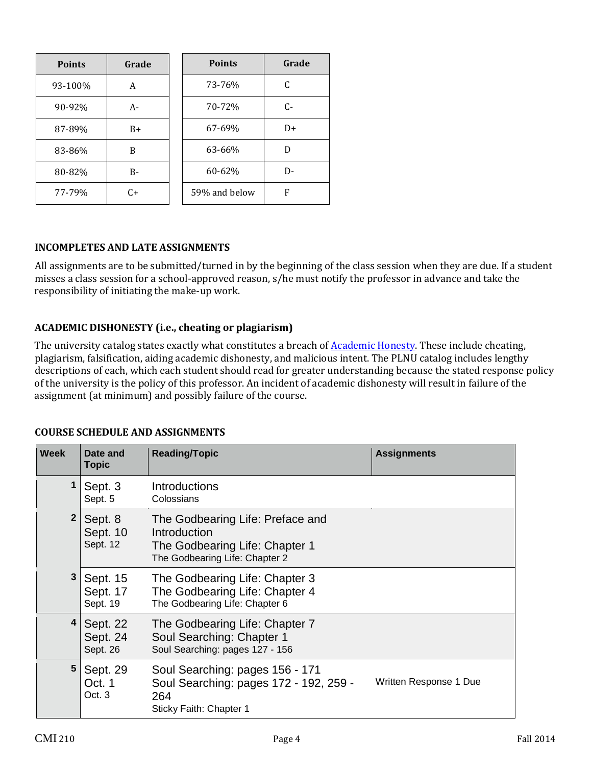| <b>Points</b> | Grade | <b>Points</b> | Grade |
|---------------|-------|---------------|-------|
| 93-100%       | А     | 73-76%        | C     |
| 90-92%        | А-    | 70-72%        | $C-$  |
| 87-89%        | B+    | 67-69%        | $D+$  |
| 83-86%        | B     | 63-66%        | D     |
| 80-82%        | B-    | 60-62%        | D-    |
| 77-79%        | $C+$  | 59% and below | F     |

### **INCOMPLETES AND LATE ASSIGNMENTS**

All assignments are to be submitted/turned in by the beginning of the class session when they are due. If a student misses a class session for a school-approved reason, s/he must notify the professor in advance and take the responsibility of initiating the make-up work.

### **ACADEMIC DISHONESTY (i.e., cheating or plagiarism)**

The university catalog states exactly what constitutes a breach of **[Academic](http://catalog.pointloma.edu/content.php?catoid=8&navoid=864%2523Academic_Honesty) Honesty**. These include cheating, plagiarism, falsification, aiding academic dishonesty, and malicious intent. The PLNU catalog includes lengthy descriptions of each, which each student should read for greater understanding because the stated response policy of the university is the policy of this professor. An incident of academic dishonesty will result in failure of the assignment (at minimum) and possibly failure of the course.

| Week         | Date and<br><b>Topic</b>         | <b>Reading/Topic</b>                                                                                                 | <b>Assignments</b>     |
|--------------|----------------------------------|----------------------------------------------------------------------------------------------------------------------|------------------------|
|              | Sept. 3<br>Sept. 5               | <b>Introductions</b><br>Colossians                                                                                   |                        |
| $\mathbf{2}$ | Sept. 8<br>Sept. 10<br>Sept. 12  | The Godbearing Life: Preface and<br>Introduction<br>The Godbearing Life: Chapter 1<br>The Godbearing Life: Chapter 2 |                        |
| 3            | Sept. 15<br>Sept. 17<br>Sept. 19 | The Godbearing Life: Chapter 3<br>The Godbearing Life: Chapter 4<br>The Godbearing Life: Chapter 6                   |                        |
| 4            | Sept. 22<br>Sept. 24<br>Sept. 26 | The Godbearing Life: Chapter 7<br>Soul Searching: Chapter 1<br>Soul Searching: pages 127 - 156                       |                        |
| 5            | Sept. 29<br>Oct. 1<br>Oct. 3     | Soul Searching: pages 156 - 171<br>Soul Searching: pages 172 - 192, 259 -<br>264<br>Sticky Faith: Chapter 1          | Written Response 1 Due |